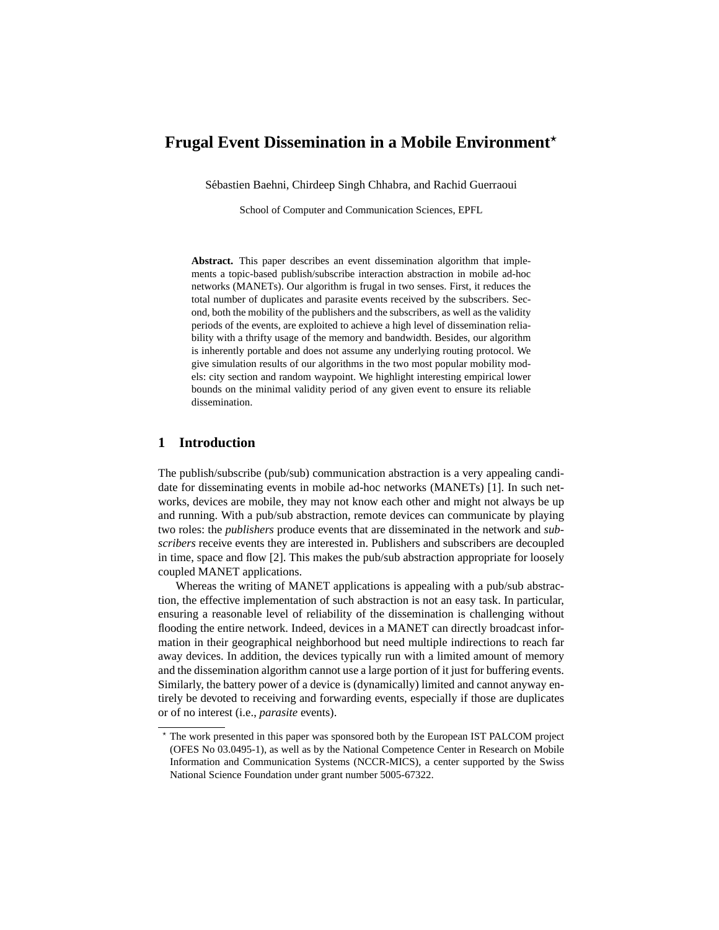# **Frugal Event Dissemination in a Mobile Environment**?

Sebastien Baehni, Chirdeep Singh Chhabra, and Rachid Guerraoui ´

School of Computer and Communication Sciences, EPFL

**Abstract.** This paper describes an event dissemination algorithm that implements a topic-based publish/subscribe interaction abstraction in mobile ad-hoc networks (MANETs). Our algorithm is frugal in two senses. First, it reduces the total number of duplicates and parasite events received by the subscribers. Second, both the mobility of the publishers and the subscribers, as well as the validity periods of the events, are exploited to achieve a high level of dissemination reliability with a thrifty usage of the memory and bandwidth. Besides, our algorithm is inherently portable and does not assume any underlying routing protocol. We give simulation results of our algorithms in the two most popular mobility models: city section and random waypoint. We highlight interesting empirical lower bounds on the minimal validity period of any given event to ensure its reliable dissemination.

## **1 Introduction**

The publish/subscribe (pub/sub) communication abstraction is a very appealing candidate for disseminating events in mobile ad-hoc networks (MANETs) [1]. In such networks, devices are mobile, they may not know each other and might not always be up and running. With a pub/sub abstraction, remote devices can communicate by playing two roles: the *publishers* produce events that are disseminated in the network and *subscribers* receive events they are interested in. Publishers and subscribers are decoupled in time, space and flow [2]. This makes the pub/sub abstraction appropriate for loosely coupled MANET applications.

Whereas the writing of MANET applications is appealing with a pub/sub abstraction, the effective implementation of such abstraction is not an easy task. In particular, ensuring a reasonable level of reliability of the dissemination is challenging without flooding the entire network. Indeed, devices in a MANET can directly broadcast information in their geographical neighborhood but need multiple indirections to reach far away devices. In addition, the devices typically run with a limited amount of memory and the dissemination algorithm cannot use a large portion of it just for buffering events. Similarly, the battery power of a device is (dynamically) limited and cannot anyway entirely be devoted to receiving and forwarding events, especially if those are duplicates or of no interest (i.e., *parasite* events).

<sup>?</sup> The work presented in this paper was sponsored both by the European IST PALCOM project (OFES No 03.0495-1), as well as by the National Competence Center in Research on Mobile Information and Communication Systems (NCCR-MICS), a center supported by the Swiss National Science Foundation under grant number 5005-67322.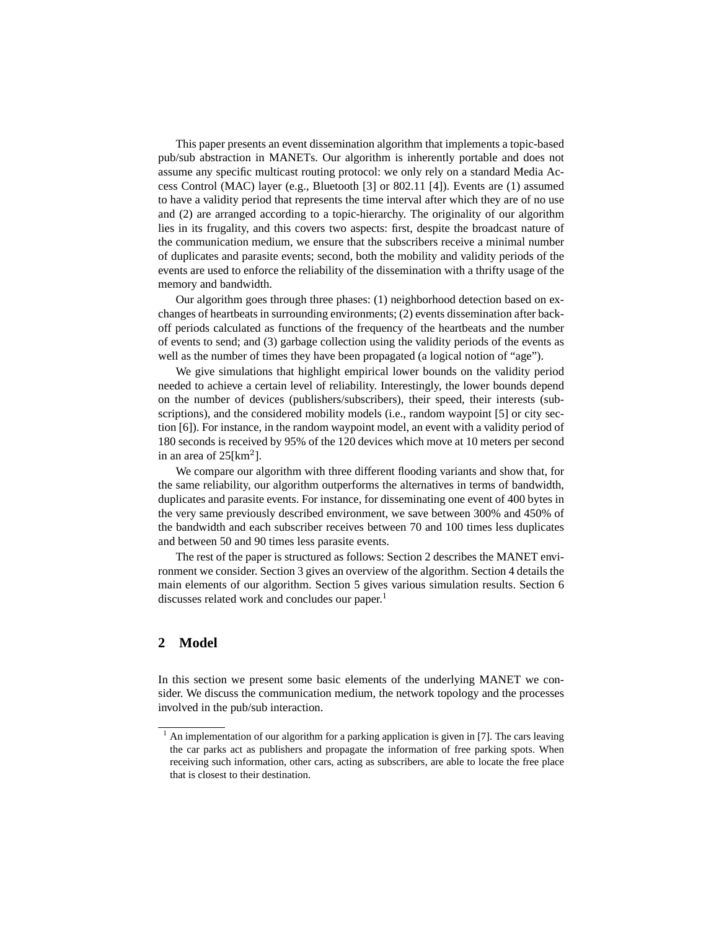This paper presents an event dissemination algorithm that implements a topic-based pub/sub abstraction in MANETs. Our algorithm is inherently portable and does not assume any specific multicast routing protocol: we only rely on a standard Media Access Control (MAC) layer (e.g., Bluetooth [3] or 802.11 [4]). Events are (1) assumed to have a validity period that represents the time interval after which they are of no use and (2) are arranged according to a topic-hierarchy. The originality of our algorithm lies in its frugality, and this covers two aspects: first, despite the broadcast nature of the communication medium, we ensure that the subscribers receive a minimal number of duplicates and parasite events; second, both the mobility and validity periods of the events are used to enforce the reliability of the dissemination with a thrifty usage of the memory and bandwidth.

Our algorithm goes through three phases: (1) neighborhood detection based on exchanges of heartbeats in surrounding environments; (2) events dissemination after backoff periods calculated as functions of the frequency of the heartbeats and the number of events to send; and (3) garbage collection using the validity periods of the events as well as the number of times they have been propagated (a logical notion of "age").

We give simulations that highlight empirical lower bounds on the validity period needed to achieve a certain level of reliability. Interestingly, the lower bounds depend on the number of devices (publishers/subscribers), their speed, their interests (subscriptions), and the considered mobility models (i.e., random waypoint [5] or city section [6]). For instance, in the random waypoint model, an event with a validity period of 180 seconds is received by 95% of the 120 devices which move at 10 meters per second in an area of  $25$ [km<sup>2</sup>].

We compare our algorithm with three different flooding variants and show that, for the same reliability, our algorithm outperforms the alternatives in terms of bandwidth, duplicates and parasite events. For instance, for disseminating one event of 400 bytes in the very same previously described environment, we save between 300% and 450% of the bandwidth and each subscriber receives between 70 and 100 times less duplicates and between 50 and 90 times less parasite events.

The rest of the paper is structured as follows: Section 2 describes the MANET environment we consider. Section 3 gives an overview of the algorithm. Section 4 details the main elements of our algorithm. Section 5 gives various simulation results. Section 6 discusses related work and concludes our paper.<sup>1</sup>

## **2 Model**

In this section we present some basic elements of the underlying MANET we consider. We discuss the communication medium, the network topology and the processes involved in the pub/sub interaction.

 $1$  An implementation of our algorithm for a parking application is given in [7]. The cars leaving the car parks act as publishers and propagate the information of free parking spots. When receiving such information, other cars, acting as subscribers, are able to locate the free place that is closest to their destination.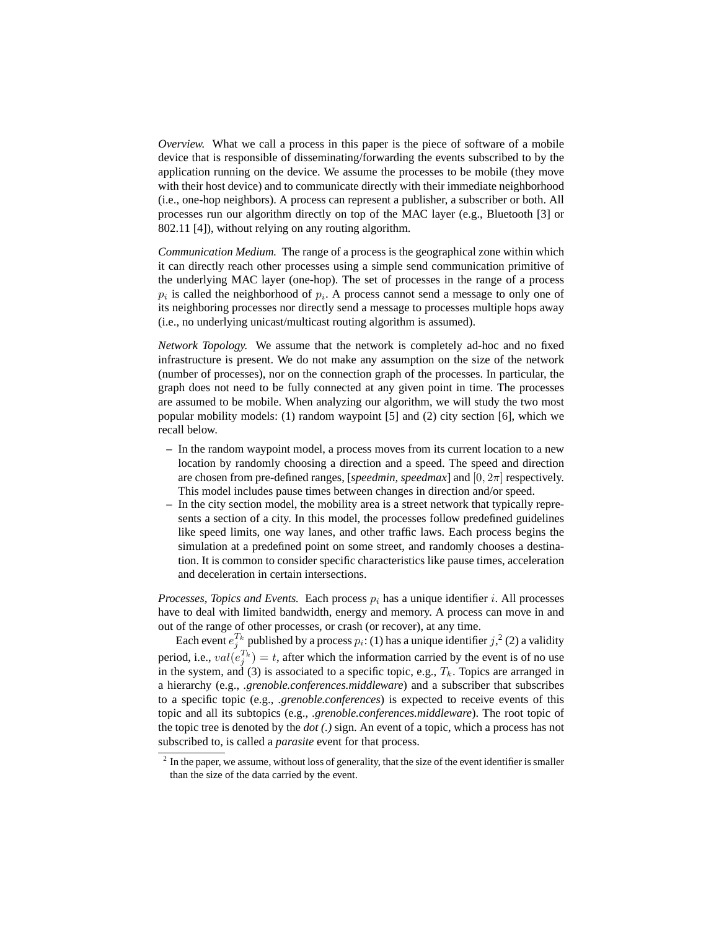*Overview.* What we call a process in this paper is the piece of software of a mobile device that is responsible of disseminating/forwarding the events subscribed to by the application running on the device. We assume the processes to be mobile (they move with their host device) and to communicate directly with their immediate neighborhood (i.e., one-hop neighbors). A process can represent a publisher, a subscriber or both. All processes run our algorithm directly on top of the MAC layer (e.g., Bluetooth [3] or 802.11 [4]), without relying on any routing algorithm.

*Communication Medium.* The range of a process is the geographical zone within which it can directly reach other processes using a simple send communication primitive of the underlying MAC layer (one-hop). The set of processes in the range of a process  $p_i$  is called the neighborhood of  $p_i$ . A process cannot send a message to only one of its neighboring processes nor directly send a message to processes multiple hops away (i.e., no underlying unicast/multicast routing algorithm is assumed).

*Network Topology.* We assume that the network is completely ad-hoc and no fixed infrastructure is present. We do not make any assumption on the size of the network (number of processes), nor on the connection graph of the processes. In particular, the graph does not need to be fully connected at any given point in time. The processes are assumed to be mobile. When analyzing our algorithm, we will study the two most popular mobility models: (1) random waypoint [5] and (2) city section [6], which we recall below.

- **–** In the random waypoint model, a process moves from its current location to a new location by randomly choosing a direction and a speed. The speed and direction are chosen from pre-defined ranges, [*speedmin, speedmax*] and  $[0, 2\pi]$  respectively. This model includes pause times between changes in direction and/or speed.
- **–** In the city section model, the mobility area is a street network that typically represents a section of a city. In this model, the processes follow predefined guidelines like speed limits, one way lanes, and other traffic laws. Each process begins the simulation at a predefined point on some street, and randomly chooses a destination. It is common to consider specific characteristics like pause times, acceleration and deceleration in certain intersections.

*Processes, Topics and Events.* Each process  $p_i$  has a unique identifier i. All processes have to deal with limited bandwidth, energy and memory. A process can move in and out of the range of other processes, or crash (or recover), at any time.

Each event  $e_j^{T_k}$  published by a process  $p_i$ : (1) has a unique identifier  $j$ ,  $^2$  (2) a validity period, i.e.,  $val(e_j^{T_k}) = t$ , after which the information carried by the event is of no use in the system, and (3) is associated to a specific topic, e.g.,  $T_k$ . Topics are arranged in a hierarchy (e.g., *.grenoble.conferences.middleware*) and a subscriber that subscribes to a specific topic (e.g., *.grenoble.conferences*) is expected to receive events of this topic and all its subtopics (e.g., *.grenoble.conferences.middleware*). The root topic of the topic tree is denoted by the *dot (.)* sign. An event of a topic, which a process has not subscribed to, is called a *parasite* event for that process.

 $2<sup>2</sup>$  In the paper, we assume, without loss of generality, that the size of the event identifier is smaller than the size of the data carried by the event.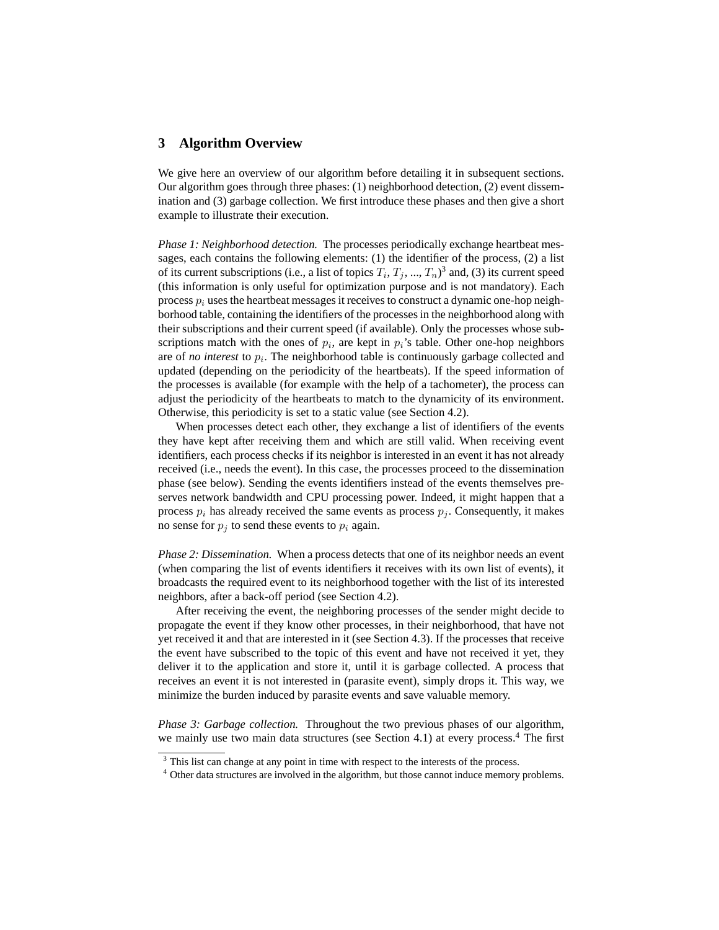## **3 Algorithm Overview**

We give here an overview of our algorithm before detailing it in subsequent sections. Our algorithm goes through three phases: (1) neighborhood detection, (2) event dissemination and (3) garbage collection. We first introduce these phases and then give a short example to illustrate their execution.

*Phase 1: Neighborhood detection.* The processes periodically exchange heartbeat messages, each contains the following elements: (1) the identifier of the process, (2) a list of its current subscriptions (i.e., a list of topics  $T_i, T_j, ..., T_n$ )<sup>3</sup> and, (3) its current speed (this information is only useful for optimization purpose and is not mandatory). Each process  $p_i$  uses the heartbeat messages it receives to construct a dynamic one-hop neighborhood table, containing the identifiers of the processes in the neighborhood along with their subscriptions and their current speed (if available). Only the processes whose subscriptions match with the ones of  $p_i$ , are kept in  $p_i$ 's table. Other one-hop neighbors are of *no interest* to  $p_i$ . The neighborhood table is continuously garbage collected and updated (depending on the periodicity of the heartbeats). If the speed information of the processes is available (for example with the help of a tachometer), the process can adjust the periodicity of the heartbeats to match to the dynamicity of its environment. Otherwise, this periodicity is set to a static value (see Section 4.2).

When processes detect each other, they exchange a list of identifiers of the events they have kept after receiving them and which are still valid. When receiving event identifiers, each process checks if its neighbor is interested in an event it has not already received (i.e., needs the event). In this case, the processes proceed to the dissemination phase (see below). Sending the events identifiers instead of the events themselves preserves network bandwidth and CPU processing power. Indeed, it might happen that a process  $p_i$  has already received the same events as process  $p_i$ . Consequently, it makes no sense for  $p_i$  to send these events to  $p_i$  again.

*Phase 2: Dissemination.* When a process detects that one of its neighbor needs an event (when comparing the list of events identifiers it receives with its own list of events), it broadcasts the required event to its neighborhood together with the list of its interested neighbors, after a back-off period (see Section 4.2).

After receiving the event, the neighboring processes of the sender might decide to propagate the event if they know other processes, in their neighborhood, that have not yet received it and that are interested in it (see Section 4.3). If the processes that receive the event have subscribed to the topic of this event and have not received it yet, they deliver it to the application and store it, until it is garbage collected. A process that receives an event it is not interested in (parasite event), simply drops it. This way, we minimize the burden induced by parasite events and save valuable memory.

*Phase 3: Garbage collection.* Throughout the two previous phases of our algorithm, we mainly use two main data structures (see Section 4.1) at every process.<sup>4</sup> The first

<sup>&</sup>lt;sup>3</sup> This list can change at any point in time with respect to the interests of the process.

<sup>&</sup>lt;sup>4</sup> Other data structures are involved in the algorithm, but those cannot induce memory problems.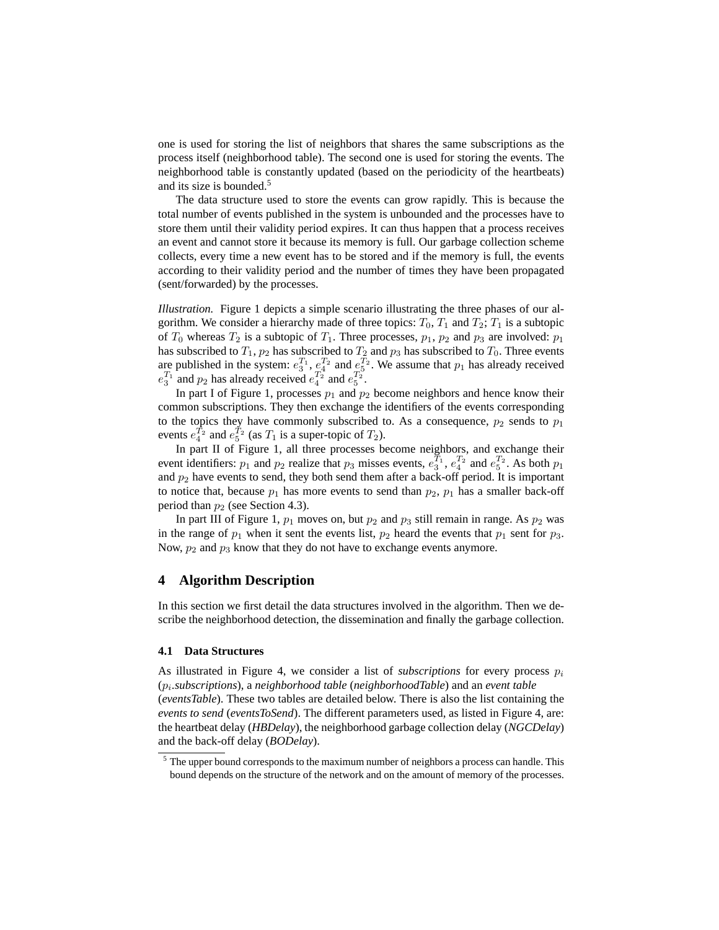one is used for storing the list of neighbors that shares the same subscriptions as the process itself (neighborhood table). The second one is used for storing the events. The neighborhood table is constantly updated (based on the periodicity of the heartbeats) and its size is bounded.<sup>5</sup>

The data structure used to store the events can grow rapidly. This is because the total number of events published in the system is unbounded and the processes have to store them until their validity period expires. It can thus happen that a process receives an event and cannot store it because its memory is full. Our garbage collection scheme collects, every time a new event has to be stored and if the memory is full, the events according to their validity period and the number of times they have been propagated (sent/forwarded) by the processes.

*Illustration.* Figure 1 depicts a simple scenario illustrating the three phases of our algorithm. We consider a hierarchy made of three topics:  $T_0$ ,  $T_1$  and  $T_2$ ;  $T_1$  is a subtopic of  $T_0$  whereas  $T_2$  is a subtopic of  $T_1$ . Three processes,  $p_1$ ,  $p_2$  and  $p_3$  are involved:  $p_1$ has subscribed to  $T_1$ ,  $p_2$  has subscribed to  $T_2$  and  $p_3$  has subscribed to  $T_0$ . Three events are published in the system:  $e_3^{T_1}$ ,  $e_4^{T_2}$  and  $e_5^{T_2}$ . We assume that  $p_1$  has already received  $e_3^{T_1}$  and  $p_2$  has already received  $e_4^{T_2}$  and  $e_5^{T_2}$ .

In part I of Figure 1, processes  $p_1$  and  $p_2$  become neighbors and hence know their common subscriptions. They then exchange the identifiers of the events corresponding to the topics they have commonly subscribed to. As a consequence,  $p_2$  sends to  $p_1$ events  $e_4^{\overline{T}_2}$  and  $e_5^{\overline{T}_2}$  (as  $T_1$  is a super-topic of  $T_2$ ).

In part II of Figure 1, all three processes become neighbors, and exchange their event identifiers:  $p_1$  and  $p_2$  realize that  $p_3$  misses events,  $e_3^{T_1}$ ,  $e_4^{T_2}$  and  $e_5^{T_2}$ . As both  $p_1$ and  $p_2$  have events to send, they both send them after a back-off period. It is important to notice that, because  $p_1$  has more events to send than  $p_2$ ,  $p_1$  has a smaller back-off period than  $p_2$  (see Section 4.3).

In part III of Figure 1,  $p_1$  moves on, but  $p_2$  and  $p_3$  still remain in range. As  $p_2$  was in the range of  $p_1$  when it sent the events list,  $p_2$  heard the events that  $p_1$  sent for  $p_3$ . Now,  $p_2$  and  $p_3$  know that they do not have to exchange events anymore.

## **4 Algorithm Description**

In this section we first detail the data structures involved in the algorithm. Then we describe the neighborhood detection, the dissemination and finally the garbage collection.

### **4.1 Data Structures**

As illustrated in Figure 4, we consider a list of *subscriptions* for every process  $p_i$ (p<sup>i</sup> *.subscriptions*), a *neighborhood table* (*neighborhoodTable*) and an *event table* (*eventsTable*). These two tables are detailed below. There is also the list containing the *events to send* (*eventsToSend*). The different parameters used, as listed in Figure 4, are: the heartbeat delay (*HBDelay*), the neighborhood garbage collection delay (*NGCDelay*) and the back-off delay (*BODelay*).

<sup>&</sup>lt;sup>5</sup> The upper bound corresponds to the maximum number of neighbors a process can handle. This bound depends on the structure of the network and on the amount of memory of the processes.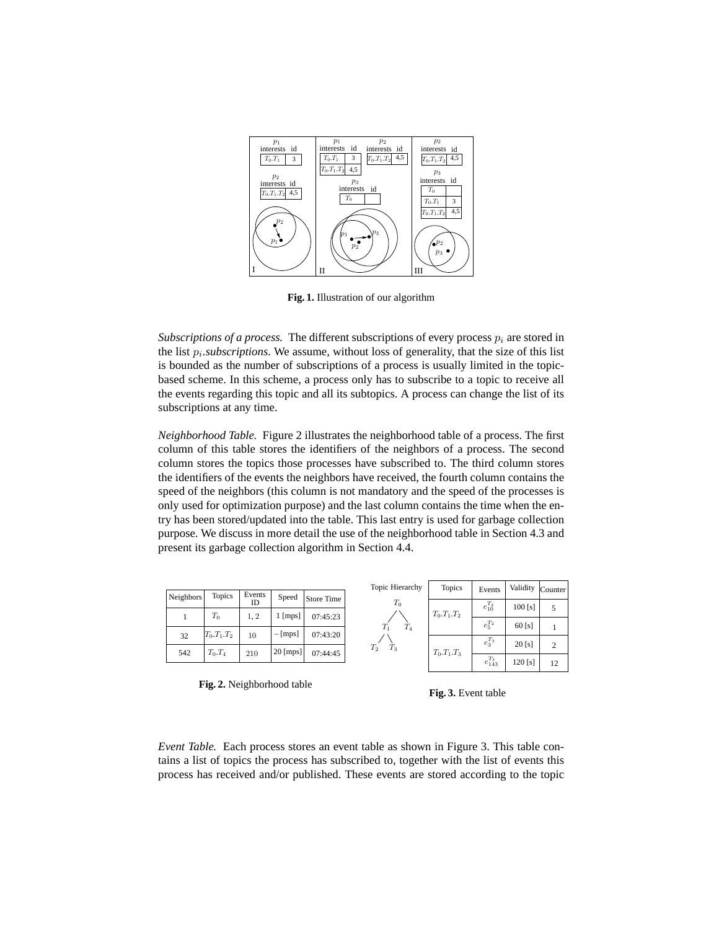

**Fig. 1.** Illustration of our algorithm

*Subscriptions of a process.* The different subscriptions of every process  $p_i$  are stored in the list  $p_i$  *subscriptions*. We assume, without loss of generality, that the size of this list is bounded as the number of subscriptions of a process is usually limited in the topicbased scheme. In this scheme, a process only has to subscribe to a topic to receive all the events regarding this topic and all its subtopics. A process can change the list of its subscriptions at any time.

*Neighborhood Table.* Figure 2 illustrates the neighborhood table of a process. The first column of this table stores the identifiers of the neighbors of a process. The second column stores the topics those processes have subscribed to. The third column stores the identifiers of the events the neighbors have received, the fourth column contains the speed of the neighbors (this column is not mandatory and the speed of the processes is only used for optimization purpose) and the last column contains the time when the entry has been stored/updated into the table. This last entry is used for garbage collection purpose. We discuss in more detail the use of the neighborhood table in Section 4.3 and present its garbage collection algorithm in Section 4.4.

| Neighbors | <b>Topics</b> | Events<br>ID | Speed      | Store Time |
|-----------|---------------|--------------|------------|------------|
|           | $T_0$         | 1, 2         | $1$ [mps]  | 07:45:23   |
| 32        | $T_0.T_1.T_2$ | 10           | - [mps]    | 07:43:20   |
| 542       | $T_0.T_4$     | 210          | $20$ [mps] | 07:44:45   |

**Fig. 2.** Neighborhood table

| Topic Hierarchy  | Topics        | Events          | Validity | Counter <sup>1</sup> |
|------------------|---------------|-----------------|----------|----------------------|
| $T_0$            | $T_0.T_1.T_2$ | $e_{10}^{T_2}$  | 100 [s]  | 5                    |
| $T_1$<br>$T_{4}$ |               | $e_5^{T_2}$     | $60$ [s] |                      |
| $T_2$<br>$T_3$   | $T_0.T_1.T_3$ | $e_3^{T_3}$     | 20 [s]   | 2                    |
|                  |               | $e_{143}^{T_3}$ | 120 [s]  | 12                   |

**Fig. 3.** Event table

*Event Table.* Each process stores an event table as shown in Figure 3. This table contains a list of topics the process has subscribed to, together with the list of events this process has received and/or published. These events are stored according to the topic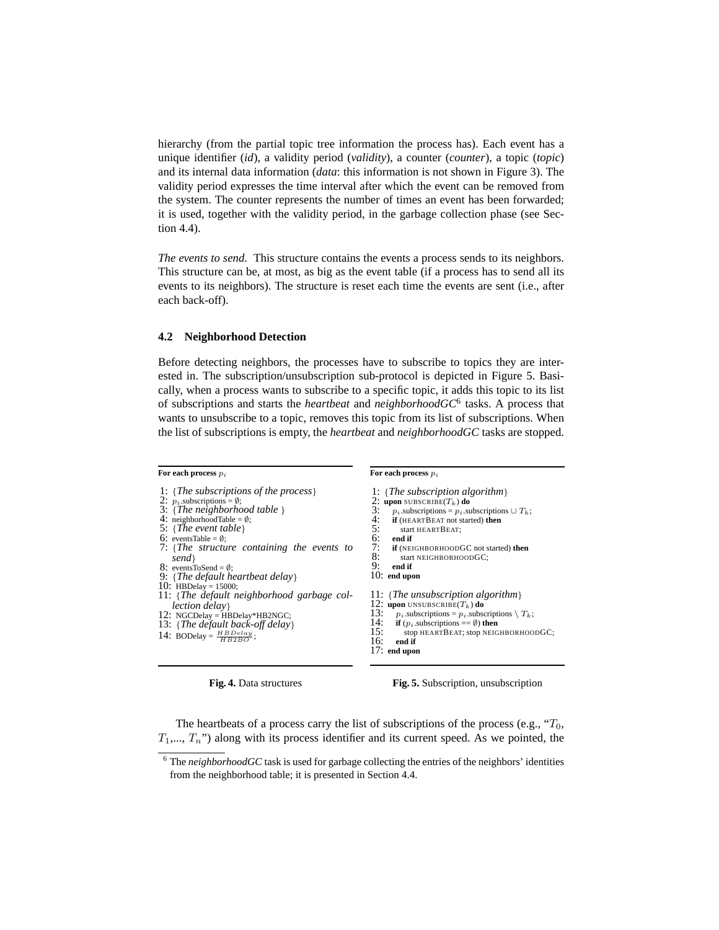hierarchy (from the partial topic tree information the process has). Each event has a unique identifier (*id*), a validity period (*validity*), a counter (*counter*), a topic (*topic*) and its internal data information (*data*: this information is not shown in Figure 3). The validity period expresses the time interval after which the event can be removed from the system. The counter represents the number of times an event has been forwarded; it is used, together with the validity period, in the garbage collection phase (see Section 4.4).

*The events to send.* This structure contains the events a process sends to its neighbors. This structure can be, at most, as big as the event table (if a process has to send all its events to its neighbors). The structure is reset each time the events are sent (i.e., after each back-off).

### **4.2 Neighborhood Detection**

Before detecting neighbors, the processes have to subscribe to topics they are interested in. The subscription/unsubscription sub-protocol is depicted in Figure 5. Basically, when a process wants to subscribe to a specific topic, it adds this topic to its list of subscriptions and starts the *heartbeat* and *neighborhoodGC*<sup>6</sup> tasks. A process that wants to unsubscribe to a topic, removes this topic from its list of subscriptions. When the list of subscriptions is empty, the *heartbeat* and *neighborhoodGC* tasks are stopped.

- 1: {*The subscriptions of the process*}
- 2:  $p_i$  subscriptions =  $\emptyset$ ;<br>3: {*The neighborhood table* }
- 4: neighborhoodTable =  $\emptyset$ ;
- 5: {*The event table*}
- 6: eventsTable =  $\emptyset$ ;
- 7: {*The structure containing the events to send*}
- 8: eventsToSend =  $\emptyset$ ;
- 9: {*The default heartbeat delay*}
- 10:  $HBDelay = 15000;$
- 11: {*The default neighborhood garbage collection delay*}
- 12: NGCDelay = HBDelay\*HB2NGC;
- 13: {*The default back-off delay*}
- 14: BODelay =  $\frac{HBDelay}{HB2BO}$ ;

**Fig. 4.** Data structures

For each process  $p_i$ 

- 1: {*The subscription algorithm*}<br>2: upon subscribe( $T<sub>k</sub>$ ) do
- 2: **upon** SUBSCRIBE( $T_k$ ) **do**<br>3. *n*<sub>i</sub> subscriptions =  $n_i$  subscriptions</sub>
- 3:  $p_i$  subscriptions =  $p_i$  subscriptions  $\cup T_k$ ;<br>4: **if** (HEARTBEAT not started) **then** 4: **if** (HEARTBEAT not started) **then**<br>5. start HEARTBEAT:
- 
- 5: start HEARTBEAT;<br>6: end if
- 6: **end if**<br>7: **if** (NEI<br>8: **start**  $if$  (NEIGHBORHOODGC not started) then
- 8: start NEIGHBORHOODGC;<br>9. end if
- 9: **end if** 10: **end upon**
- 11: {*The unsubscription algorithm*}
- 
- 12: **upon** UNSUBSCRIBE( $T_k$ ) **do**<br>13:  $p_i$  subscriptions =  $p_i$  subscriptions 13:  $p_i$ .subscriptions =  $p_i$ .subscriptions \  $T_k$ ;<br>14: **if**  $(p_i$ .subscriptions ==  $\emptyset$ ) **then**
- 14: **if**  $(p_i$  subscriptions ==  $\emptyset$ ) **then**<br>15: **stop HEARTBEAT;** stop NEIG
- 15: stop HEARTBEAT; stop NEIGHBORHOODGC;<br>16: end if
- end if 17: **end upon**

**Fig. 5.** Subscription, unsubscription

The heartbeats of a process carry the list of subscriptions of the process (e.g., " $T_0$ ,  $T_1, \ldots, T_n$ ") along with its process identifier and its current speed. As we pointed, the

For each process  $p_i$ 

<sup>6</sup> The *neighborhoodGC* task is used for garbage collecting the entries of the neighbors' identities from the neighborhood table; it is presented in Section 4.4.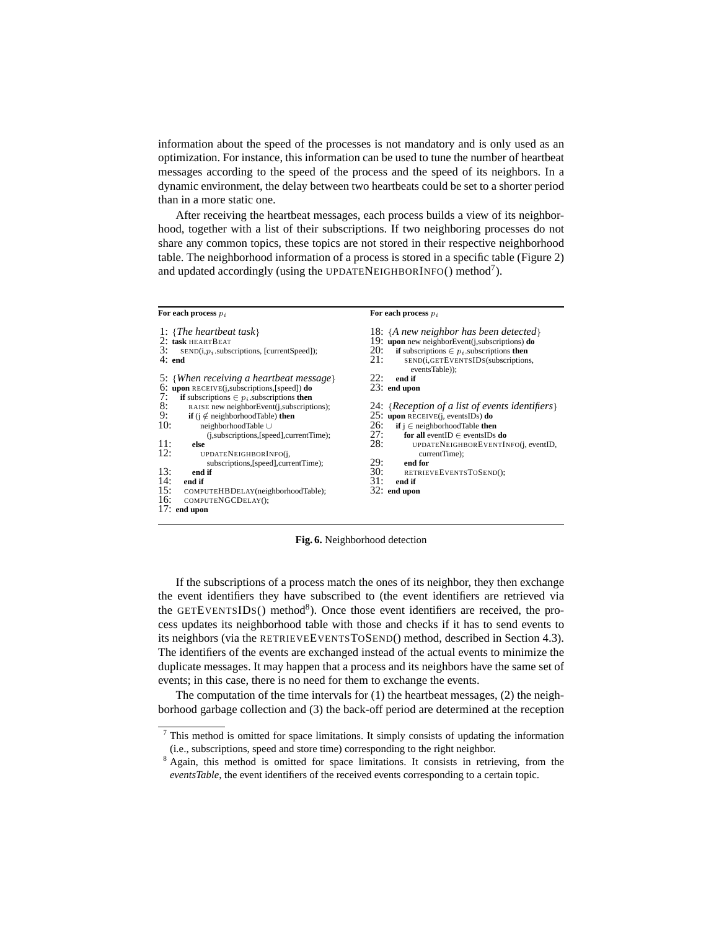information about the speed of the processes is not mandatory and is only used as an optimization. For instance, this information can be used to tune the number of heartbeat messages according to the speed of the process and the speed of its neighbors. In a dynamic environment, the delay between two heartbeats could be set to a shorter period than in a more static one.

After receiving the heartbeat messages, each process builds a view of its neighborhood, together with a list of their subscriptions. If two neighboring processes do not share any common topics, these topics are not stored in their respective neighborhood table. The neighborhood information of a process is stored in a specific table (Figure 2) and updated accordingly (using the UPDATENEIGHBORINFO() method<sup>7</sup>).

#### For each process  $p_i$ 1: {*The heartbeat task*} 2:  $\text{task HEARTBEAT}}$ <br>3:  $\text{SED}(i, p_i, \text{subs})$  $SEND(i, p_i.subscriptions, [currentSpeed]);$ 4: **end** 5: {*When receiving a heartbeat message*} 6: **upon** RECEIVE(j,subscriptions,[speed]) **do** 7: **if** subscriptions  $\in p_i$  subscriptions **then**<br>8: RAISE new neighborEvent(i.subscriptions) 8: RAISE new neighborEvent(j,subscriptions);<br>9: if  $(i \notin$  neighborhoodTable) then 9: **if** ( $j \notin \text{neighborhoodTable}$ ) **then**<br>10: neighborhoodTable  $\cup$ 10: neighborhoodTable ∪ (j,subscriptions,[speed],currentTime); 11: **else** 12: UPDATENEIGHBORINFO(j, subscriptions,[speed],currentTime); 13: **end if**  $14:$  **end if**<br> $15:$  **COMP** 15: COMPUTEHBDELAY(neighborhoodTable);<br>16: COMPUTENGCDELAY(); COMPUTENGCDELAY(); 17: **end upon** For each process  $p_i$ 18: {*A new neighbor has been detected*} 19: **upon** new neighborEvent(j,subscriptions) **do**<br>20: **if** subscriptions  $\in$  *n*<sub>i</sub>, subscriptions **then** 20: **if** subscriptions  $\in p_i$  subscriptions **then**<br>21: SEND(i.GETEVENTSIDS(subscription) SEND(i,GETEVENTSIDS(subscriptions, eventsTable)); 22: **end if** 23: **end upon** 24: {*Reception of a list of events identifiers*} 25: **upon** RECEIVE(j, eventsIDs) **do**<br>26: **if**  $j \in$  neighborhoodTable **then**<br>27: **for all** eventID  $\in$  eventsIDs 26: **if** j ∈ neighborhoodTable **then** 27: **for all** eventID ∈ eventsIDs **do** UPDATENEIGHBOREVENTINFO(j, eventID, currentTime); 29: **end for** 30: RETRIEVEEVENTSTOSEND();<br>31: end if 31: **end if** 32: **end upon**

**Fig. 6.** Neighborhood detection

If the subscriptions of a process match the ones of its neighbor, they then exchange the event identifiers they have subscribed to (the event identifiers are retrieved via the GETEVENTSIDS() method<sup>8</sup>). Once those event identifiers are received, the process updates its neighborhood table with those and checks if it has to send events to its neighbors (via the RETRIEVEEVENTSTOSEND() method, described in Section 4.3). The identifiers of the events are exchanged instead of the actual events to minimize the duplicate messages. It may happen that a process and its neighbors have the same set of events; in this case, there is no need for them to exchange the events.

The computation of the time intervals for  $(1)$  the heartbeat messages,  $(2)$  the neighborhood garbage collection and (3) the back-off period are determined at the reception

 $<sup>7</sup>$  This method is omitted for space limitations. It simply consists of updating the information</sup> (i.e., subscriptions, speed and store time) corresponding to the right neighbor.

<sup>&</sup>lt;sup>8</sup> Again, this method is omitted for space limitations. It consists in retrieving, from the *eventsTable*, the event identifiers of the received events corresponding to a certain topic.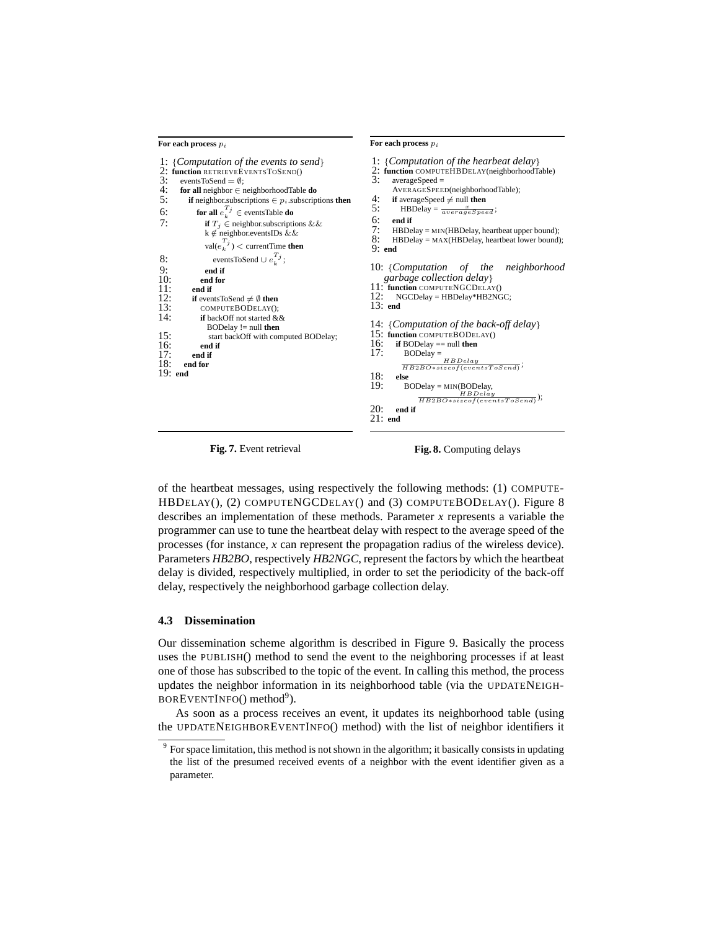| For each process $p_i$                                                                                                                                                                                                                                                                                                                                                                                                                                                                                                                                                                                                                                                                                                                                                                                                                          | For each process $p_i$                                                                                                                                                                                                                                                                                                                                                                                                                                                                                                                                                                                                                                                                                                                                                                                                                                                                       |  |  |
|-------------------------------------------------------------------------------------------------------------------------------------------------------------------------------------------------------------------------------------------------------------------------------------------------------------------------------------------------------------------------------------------------------------------------------------------------------------------------------------------------------------------------------------------------------------------------------------------------------------------------------------------------------------------------------------------------------------------------------------------------------------------------------------------------------------------------------------------------|----------------------------------------------------------------------------------------------------------------------------------------------------------------------------------------------------------------------------------------------------------------------------------------------------------------------------------------------------------------------------------------------------------------------------------------------------------------------------------------------------------------------------------------------------------------------------------------------------------------------------------------------------------------------------------------------------------------------------------------------------------------------------------------------------------------------------------------------------------------------------------------------|--|--|
| 1: {Computation of the events to send}<br>2: function RETRIEVEEVENTSTOSEND()<br>3:<br>eventsToSend = $\emptyset$ :<br>4:<br>for all neighbor $\in$ neighborhood Table do<br>5:<br><b>if</b> neighbor.subscriptions $\in p_i$ subscriptions <b>then</b><br><b>for all</b> $e_{\nu}^{T_j} \in$ events Table <b>do</b><br>6:<br>7:<br><b>if</b> $T_i \in$ neighbor subscriptions & &<br>$k \notin$ neighbor.eventsIDs & &<br>$\text{val}(e_k^{T_j}) < \text{currentTime}$ then<br>eventsToSend $\cup e_{\iota}^{T_j}$ ;<br>8:<br>9:<br>end if<br>10:<br>end for<br>11:<br>end if<br>12:<br><b>if</b> events ToSend $\neq \emptyset$ then<br>13:<br>COMPUTEBODELAY();<br>14:<br>if backOff not started $&&$<br>BODelay $!=$ null then<br>15:<br>start backOff with computed BODelay;<br>16:<br>end if<br>17:<br>end if<br>18:<br>end for<br>19: end | 1: {Computation of the hearbeat delay}<br>2: function COMPUTEHBDELAY(neighborhoodTable)<br>3:<br>$averageSpeed =$<br>AVERAGESPEED(neighborhoodTable);<br>4:<br><b>if</b> averageSpeed $\neq$ null <b>then</b><br>5:<br>$HBDelay = \frac{x}{averageSpeed}$ ;<br>6:<br>end if<br>7:<br>$HBDelay = MIN(HBDelay, heartbeat upper bound);$<br>8:<br>$HBDelay = MAX(HBDelay, heartbeat lower bound);$<br>$9:$ end<br>10: {Computation of the neighborhood<br>garbage collection delay<br>11: function COMPUTENGCDELAY()<br>12: NGCDelay = HBDelay*HB2NGC;<br>$13:$ end<br>14: {Computation of the back-off delay}<br>15: function COMPUTEBODELAY()<br>16:<br>if BODelay $==$ null then<br>17:<br>$BODelay =$<br>HBDelay<br>$\overline{HB2BO*sizeof(eventsToSend)}$<br>18:<br>else<br>19:<br>$BODelay = MIN(BODelay,$<br>$\frac{HBDelay}{HB2BO*sizeof(eventsToSend)}$<br>20:<br>end if<br>$21:$ end |  |  |

**Fig. 7.** Event retrieval

**Fig. 8.** Computing delays

of the heartbeat messages, using respectively the following methods: (1) COMPUTE-HBDELAY(), (2) COMPUTENGCDELAY() and (3) COMPUTEBODELAY(). Figure 8 describes an implementation of these methods. Parameter *x* represents a variable the programmer can use to tune the heartbeat delay with respect to the average speed of the processes (for instance, *x* can represent the propagation radius of the wireless device). Parameters *HB2BO*, respectively *HB2NGC*, represent the factors by which the heartbeat delay is divided, respectively multiplied, in order to set the periodicity of the back-off delay, respectively the neighborhood garbage collection delay.

## **4.3 Dissemination**

Our dissemination scheme algorithm is described in Figure 9. Basically the process uses the PUBLISH() method to send the event to the neighboring processes if at least one of those has subscribed to the topic of the event. In calling this method, the process updates the neighbor information in its neighborhood table (via the UPDATENEIGH-BOREVENTINFO() method<sup>9</sup>).

As soon as a process receives an event, it updates its neighborhood table (using the UPDATENEIGHBOREVENTINFO() method) with the list of neighbor identifiers it

 $9$  For space limitation, this method is not shown in the algorithm; it basically consists in updating the list of the presumed received events of a neighbor with the event identifier given as a parameter.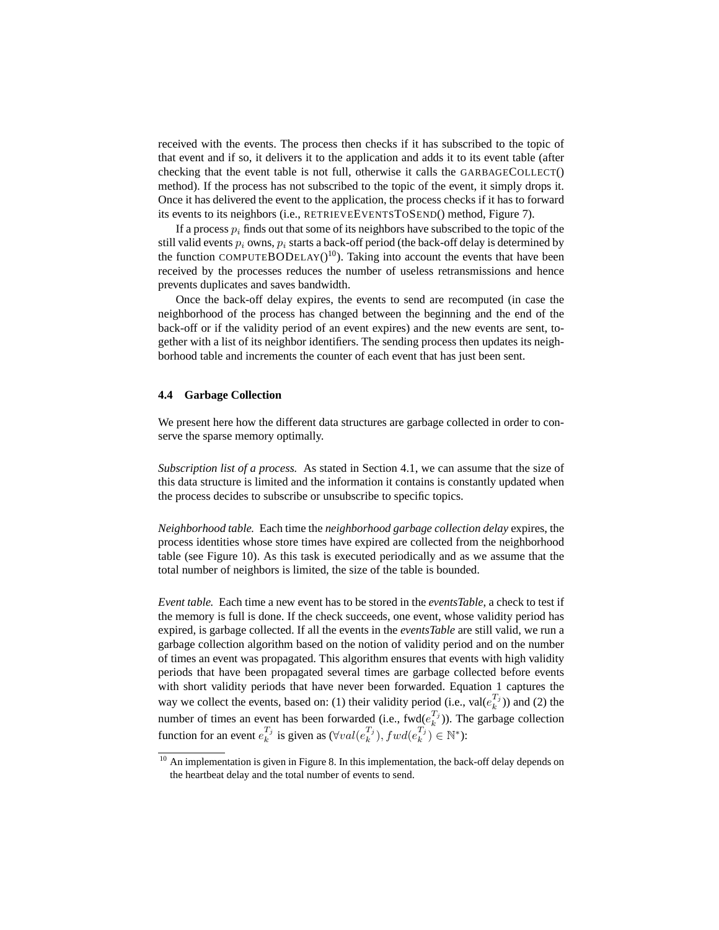received with the events. The process then checks if it has subscribed to the topic of that event and if so, it delivers it to the application and adds it to its event table (after checking that the event table is not full, otherwise it calls the GARBAGECOLLECT() method). If the process has not subscribed to the topic of the event, it simply drops it. Once it has delivered the event to the application, the process checks if it has to forward its events to its neighbors (i.e., RETRIEVEEVENTSTOSEND() method, Figure 7).

If a process  $p_i$  finds out that some of its neighbors have subscribed to the topic of the still valid events  $p_i$  owns,  $p_i$  starts a back-off period (the back-off delay is determined by the function COMPUTEBODELAY()<sup>10</sup>). Taking into account the events that have been received by the processes reduces the number of useless retransmissions and hence prevents duplicates and saves bandwidth.

Once the back-off delay expires, the events to send are recomputed (in case the neighborhood of the process has changed between the beginning and the end of the back-off or if the validity period of an event expires) and the new events are sent, together with a list of its neighbor identifiers. The sending process then updates its neighborhood table and increments the counter of each event that has just been sent.

### **4.4 Garbage Collection**

We present here how the different data structures are garbage collected in order to conserve the sparse memory optimally.

*Subscription list of a process.* As stated in Section 4.1, we can assume that the size of this data structure is limited and the information it contains is constantly updated when the process decides to subscribe or unsubscribe to specific topics.

*Neighborhood table.* Each time the *neighborhood garbage collection delay* expires, the process identities whose store times have expired are collected from the neighborhood table (see Figure 10). As this task is executed periodically and as we assume that the total number of neighbors is limited, the size of the table is bounded.

*Event table.* Each time a new event has to be stored in the *eventsTable*, a check to test if the memory is full is done. If the check succeeds, one event, whose validity period has expired, is garbage collected. If all the events in the *eventsTable* are still valid, we run a garbage collection algorithm based on the notion of validity period and on the number of times an event was propagated. This algorithm ensures that events with high validity periods that have been propagated several times are garbage collected before events with short validity periods that have never been forwarded. Equation 1 captures the way we collect the events, based on: (1) their validity period (i.e., val $(e_k^{T_j})$ ) and (2) the number of times an event has been forwarded (i.e.,  $\text{fwd}(e_k^{T_j})$ ). The garbage collection function for an event  $e_k^{T_j}$  is given as  $(\forall val(e_k^{T_j}), fwd(e_k^{T_j}) \in \mathbb{N}^*)$ :

<sup>&</sup>lt;sup>10</sup> An implementation is given in Figure 8. In this implementation, the back-off delay depends on the heartbeat delay and the total number of events to send.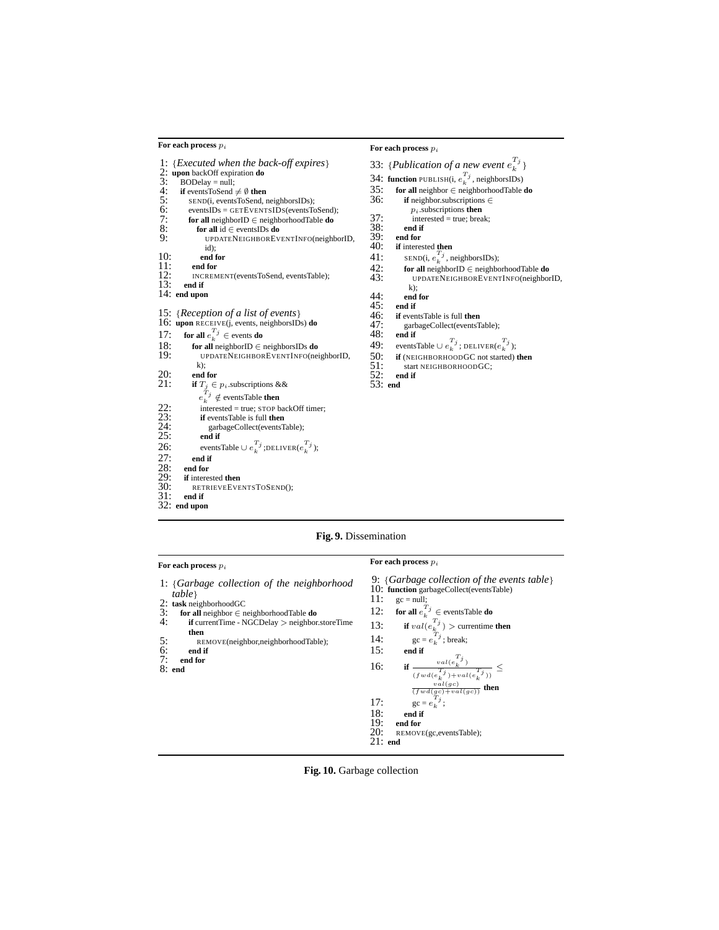#### For each process  $p_i$

| 1:                              | ${Executed when the back-off expires}$                |
|---------------------------------|-------------------------------------------------------|
| 2:                              | upon backOff expiration do                            |
| 3:                              | $BODelay = null;$                                     |
| 4:                              | if events ToSend $\neq \emptyset$ then                |
|                                 | SEND(i, eventsToSend, neighborsIDs);                  |
|                                 | $eventsIDs = GETEVENTSIDs(eventsToSend);$             |
|                                 | for all neighborID $\in$ neighborhoodTable do         |
| 5:<br>6:<br>7: 8:<br>9:         | for all id $\in$ eventsIDs do                         |
|                                 | UPDATENEIGHBOREVENTINFO(neighborID,                   |
|                                 | id);                                                  |
| 10:                             | end for                                               |
| 11:                             | end for                                               |
| 12:                             | INCREMENT(eventsToSend, eventsTable);                 |
| 13:                             | end if                                                |
|                                 | 14: end upon                                          |
|                                 |                                                       |
| 15:                             | ${Reception of a list of events}$                     |
| 16:                             | upon RECEIVE(j, events, neighborsIDs) do              |
|                                 |                                                       |
| 17:                             | for all $e_k^{T_j} \in$ events do                     |
| 18:                             | for all neighbor $ID \in$ neighbors $IDs$ do          |
| 19:                             | UPDATENEIGHBOREVENTINFO(neighborID,                   |
|                                 | $k)$ :                                                |
| 20:                             | end for                                               |
| 21:                             | <b>if</b> $T_i \in p_i$ subscriptions &&              |
|                                 | $e_k^{T_j} \notin$ events Table then                  |
| 22:                             | interested = true; STOP backOff timer;                |
| $\frac{23}{24}$ :<br>24:<br>25: | if eventsTable is full then                           |
|                                 | garbageCollect(eventsTable);                          |
|                                 | end if                                                |
| 26:                             | eventsTable $\cup e_k^{T_j}$ ;DELIVER $(e_k^{T_j})$ ; |
| 27:                             |                                                       |
| $\overline{2}\overline{8}$ :    | end if                                                |
|                                 | end for                                               |
| 29:                             | <b>if</b> interested then                             |
| $\frac{30}{31}$                 | RETRIEVEEVENTSTOSEND();                               |
|                                 | end if                                                |
|                                 | $32:$ end upon                                        |
|                                 |                                                       |

### For each process  $\boldsymbol{p}_i$

|     | 33: {Publication of a new event $e_{\iota}^{T_j}$ } |
|-----|-----------------------------------------------------|
|     | 34: function PUBLISH(i, $e_k^{T_j}$ , neighborsIDs) |
| 35: | for all neighbor $\in$ neighborhood Table do        |
| 36: | <b>if</b> neighbor.subscriptions $\in$              |
|     |                                                     |

- $p_i$  subscriptions  ${\bf then}$
- $\frac{37}{38}$ : interested = true; break;
- 38: **end if**<br>39: **end for**<br>40: **if** interest

```
39: end for
```
- 40: **if** interested **then**
- 41: SEND(i,  $e_k^{T_j}$ , neighborsIDs);
	-
- 42: **for all** neighborID ∈ neighborhoodTable **do** 43: UPDATENEIGHBOREVENTINFO(neighborID, k);

```
44: end for
```
- 45: **end if** 46: **if** eventsTable is full **then**<br>47: garbageCollect(eventsT
- 47: garbageCollect(eventsTable);<br>48: end if
- 48: **end if**
	-
- 49: eventsTable ∪  $e_k^{T_j}$ ; DELIVER( $e_k^{T_j}$ );<br>50: **if** (NEIGHBORHOODGC not started) **then**
- 50: if (NEIGHBORHOODGC not s<br>51: start NEIGHBORHOODGC;<br>52: end if
	-

```
52: end if
53: end
```
### **Fig. 9.** Dissemination

### For each process  $p_i$

- 1: {*Garbage collection of the neighborhood table*}
- 
- 2: **task** neighborhoodGC<br>3: **for all** neighbor  $\in$  neighbor  $\in$  neighbor  $\in$  neighbor  $\in$  N
- 3: **for all** neighbor ∈ neighborhoodTable **do** 4: **if** currentTime NGCDelay > neighbor.storeTime **then**
- 5: REMOVE(neighbor,neighborhoodTable);<br>6: end if
- 6: **end if** 7: **end for** 8: **end**
- 
- 

For each process  $\boldsymbol{p}_i$ 

- 9: {*Garbage collection of the events table*} 10: **function** garbageCollect(eventsTable)
- 11:  $gc = null;$ 
	-
- 12: **for all**  $e_k^{T_j} \in \text{eventsTable }$ **do**
- 13: **if**  $val(e_k^{T_j}) >$  currentime **then**
- 14:  $\qquad \qquad$  gc =  $e_k^{T_j}$ ; break;
- 15: **end if**  $\overline{f}$

16: if 
$$
\frac{val(e_k^{t,j})}{(fwd(e_k^{t})+val(e_k^{T_j}))} \leq \frac{1}{(fwd(gc)+val(gc))}
$$

- 17:  $\sec = e_k^{T_j};$
- 
- 18: **end if**
- 19: **end for** REMOVE(gc,eventsTable);
- 21: **end**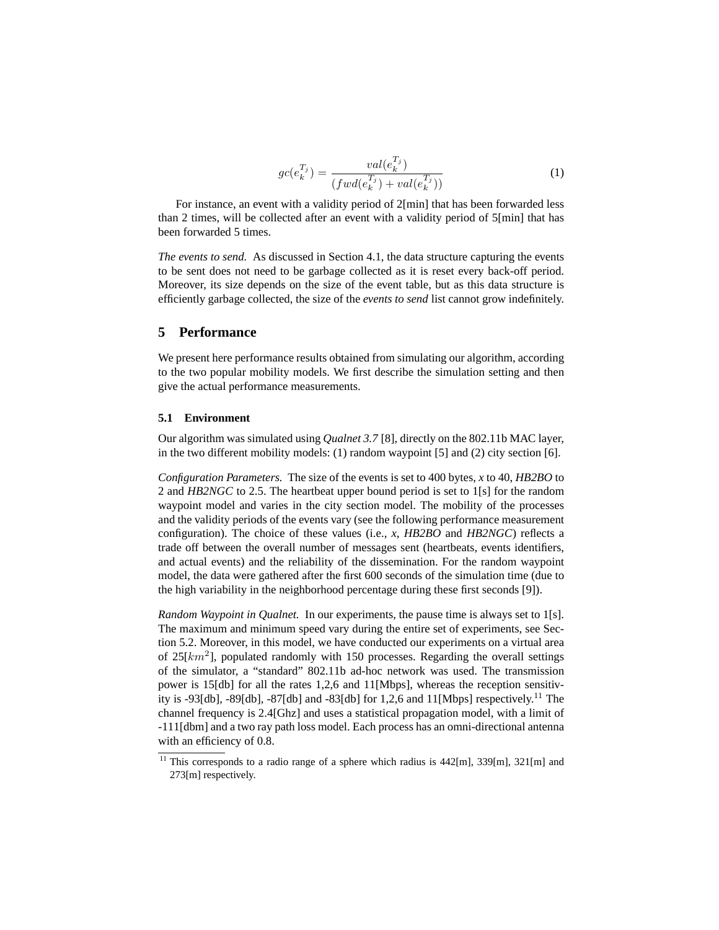$$
gc(e_k^{T_j}) = \frac{val(e_k^{T_j})}{(fwd(e_k^{T_j}) + val(e_k^{T_j}))}
$$
(1)

For instance, an event with a validity period of 2[min] that has been forwarded less than 2 times, will be collected after an event with a validity period of 5[min] that has been forwarded 5 times.

*The events to send.* As discussed in Section 4.1, the data structure capturing the events to be sent does not need to be garbage collected as it is reset every back-off period. Moreover, its size depends on the size of the event table, but as this data structure is efficiently garbage collected, the size of the *events to send* list cannot grow indefinitely.

## **5 Performance**

We present here performance results obtained from simulating our algorithm, according to the two popular mobility models. We first describe the simulation setting and then give the actual performance measurements.

### **5.1 Environment**

Our algorithm was simulated using *Qualnet 3.7* [8], directly on the 802.11b MAC layer, in the two different mobility models: (1) random waypoint [5] and (2) city section [6].

*Configuration Parameters.* The size of the events is set to 400 bytes, *x* to 40, *HB2BO* to 2 and *HB2NGC* to 2.5. The heartbeat upper bound period is set to 1[s] for the random waypoint model and varies in the city section model. The mobility of the processes and the validity periods of the events vary (see the following performance measurement configuration). The choice of these values (i.e., *x*, *HB2BO* and *HB2NGC*) reflects a trade off between the overall number of messages sent (heartbeats, events identifiers, and actual events) and the reliability of the dissemination. For the random waypoint model, the data were gathered after the first 600 seconds of the simulation time (due to the high variability in the neighborhood percentage during these first seconds [9]).

*Random Waypoint in Qualnet.* In our experiments, the pause time is always set to 1[s]. The maximum and minimum speed vary during the entire set of experiments, see Section 5.2. Moreover, in this model, we have conducted our experiments on a virtual area of  $25[km^2]$ , populated randomly with 150 processes. Regarding the overall settings of the simulator, a "standard" 802.11b ad-hoc network was used. The transmission power is 15[db] for all the rates 1,2,6 and 11[Mbps], whereas the reception sensitivity is -93[db], -89[db], -87[db] and -83[db] for 1,2,6 and 11[Mbps] respectively.<sup>11</sup> The channel frequency is 2.4[Ghz] and uses a statistical propagation model, with a limit of -111[dbm] and a two ray path loss model. Each process has an omni-directional antenna with an efficiency of 0.8.

<sup>&</sup>lt;sup>11</sup> This corresponds to a radio range of a sphere which radius is  $442[m]$ ,  $339[m]$ ,  $321[m]$  and 273[m] respectively.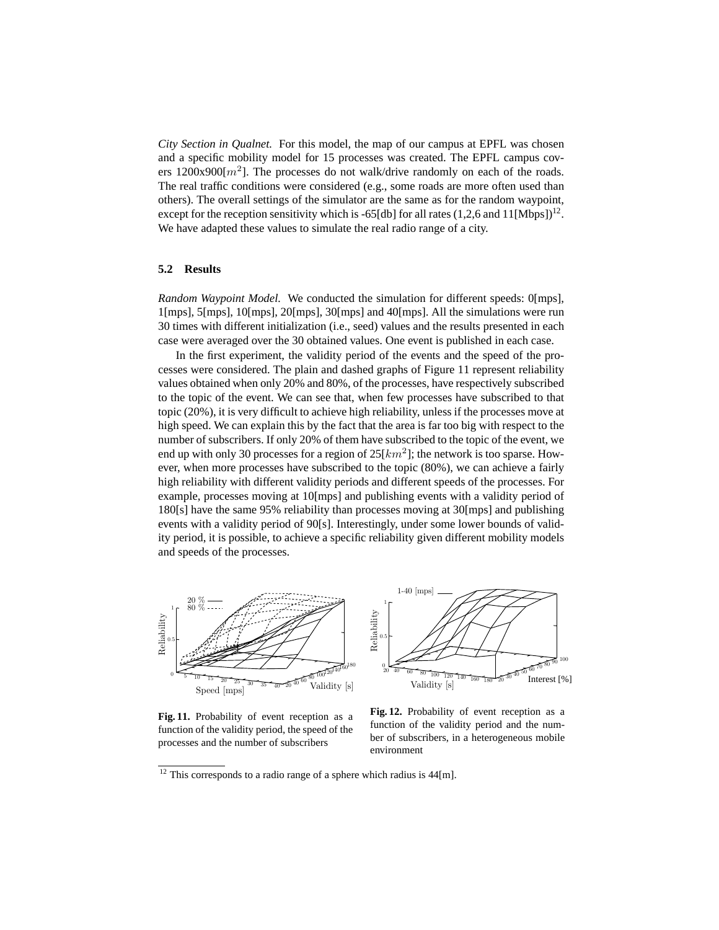*City Section in Qualnet.* For this model, the map of our campus at EPFL was chosen and a specific mobility model for 15 processes was created. The EPFL campus covers 1200x900 $[m^2]$ . The processes do not walk/drive randomly on each of the roads. The real traffic conditions were considered (e.g., some roads are more often used than others). The overall settings of the simulator are the same as for the random waypoint, except for the reception sensitivity which is -65[db] for all rates  $(1,2,6$  and  $11[\text{Mbps}])^{12}$ . We have adapted these values to simulate the real radio range of a city.

### **5.2 Results**

*Random Waypoint Model.* We conducted the simulation for different speeds: 0[mps], 1[mps], 5[mps], 10[mps], 20[mps], 30[mps] and 40[mps]. All the simulations were run 30 times with different initialization (i.e., seed) values and the results presented in each case were averaged over the 30 obtained values. One event is published in each case.

In the first experiment, the validity period of the events and the speed of the processes were considered. The plain and dashed graphs of Figure 11 represent reliability values obtained when only 20% and 80%, of the processes, have respectively subscribed to the topic of the event. We can see that, when few processes have subscribed to that topic (20%), it is very difficult to achieve high reliability, unless if the processes move at high speed. We can explain this by the fact that the area is far too big with respect to the number of subscribers. If only 20% of them have subscribed to the topic of the event, we end up with only 30 processes for a region of  $25[km^2]$ ; the network is too sparse. However, when more processes have subscribed to the topic (80%), we can achieve a fairly high reliability with different validity periods and different speeds of the processes. For example, processes moving at 10[mps] and publishing events with a validity period of 180[s] have the same 95% reliability than processes moving at 30[mps] and publishing events with a validity period of 90[s]. Interestingly, under some lower bounds of validity period, it is possible, to achieve a specific reliability given different mobility models and speeds of the processes.





**Fig. 11.** Probability of event reception as a function of the validity period, the speed of the processes and the number of subscribers

**Fig. 12.** Probability of event reception as a function of the validity period and the number of subscribers, in a heterogeneous mobile environment

<sup>&</sup>lt;sup>12</sup> This corresponds to a radio range of a sphere which radius is  $44[m]$ .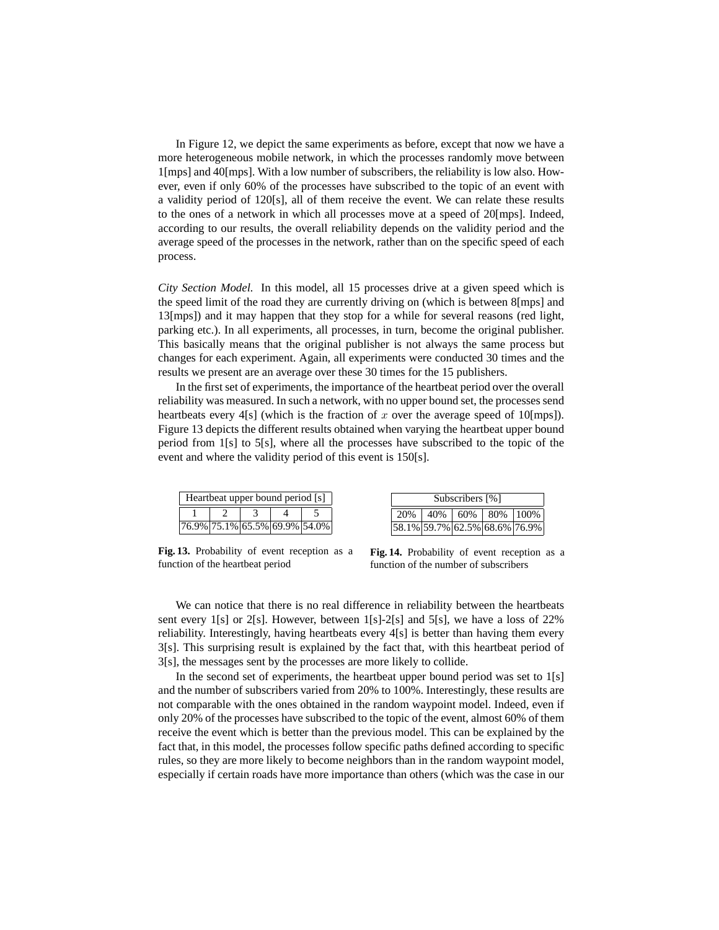In Figure 12, we depict the same experiments as before, except that now we have a more heterogeneous mobile network, in which the processes randomly move between 1[mps] and 40[mps]. With a low number of subscribers, the reliability is low also. However, even if only 60% of the processes have subscribed to the topic of an event with a validity period of 120[s], all of them receive the event. We can relate these results to the ones of a network in which all processes move at a speed of 20[mps]. Indeed, according to our results, the overall reliability depends on the validity period and the average speed of the processes in the network, rather than on the specific speed of each process.

*City Section Model.* In this model, all 15 processes drive at a given speed which is the speed limit of the road they are currently driving on (which is between 8[mps] and 13[mps]) and it may happen that they stop for a while for several reasons (red light, parking etc.). In all experiments, all processes, in turn, become the original publisher. This basically means that the original publisher is not always the same process but changes for each experiment. Again, all experiments were conducted 30 times and the results we present are an average over these 30 times for the 15 publishers.

In the first set of experiments, the importance of the heartbeat period over the overall reliability was measured. In such a network, with no upper bound set, the processes send heartbeats every 4[s] (which is the fraction of x over the average speed of 10[mps]). Figure 13 depicts the different results obtained when varying the heartbeat upper bound period from  $1\{s\}$  to  $5\{s\}$ , where all the processes have subscribed to the topic of the event and where the validity period of this event is 150[s].

| Heartbeat upper bound period [s] |  |  |  |  |  |
|----------------------------------|--|--|--|--|--|
|                                  |  |  |  |  |  |
| 76.9% 75.1% 65.5% 69.9% 54.0%    |  |  |  |  |  |

| Subscribers [%] |                               |  |  |  |  |
|-----------------|-------------------------------|--|--|--|--|
|                 | 20%   40%   60%   80%   100%  |  |  |  |  |
|                 | 58.1% 59.7% 62.5% 68.6% 76.9% |  |  |  |  |

**Fig. 13.** Probability of event reception as a function of the heartbeat period

**Fig. 14.** Probability of event reception as a function of the number of subscribers

We can notice that there is no real difference in reliability between the heartbeats sent every 1[s] or 2[s]. However, between 1[s]-2[s] and 5[s], we have a loss of 22% reliability. Interestingly, having heartbeats every 4[s] is better than having them every 3[s]. This surprising result is explained by the fact that, with this heartbeat period of 3[s], the messages sent by the processes are more likely to collide.

In the second set of experiments, the heartbeat upper bound period was set to 1[s] and the number of subscribers varied from 20% to 100%. Interestingly, these results are not comparable with the ones obtained in the random waypoint model. Indeed, even if only 20% of the processes have subscribed to the topic of the event, almost 60% of them receive the event which is better than the previous model. This can be explained by the fact that, in this model, the processes follow specific paths defined according to specific rules, so they are more likely to become neighbors than in the random waypoint model, especially if certain roads have more importance than others (which was the case in our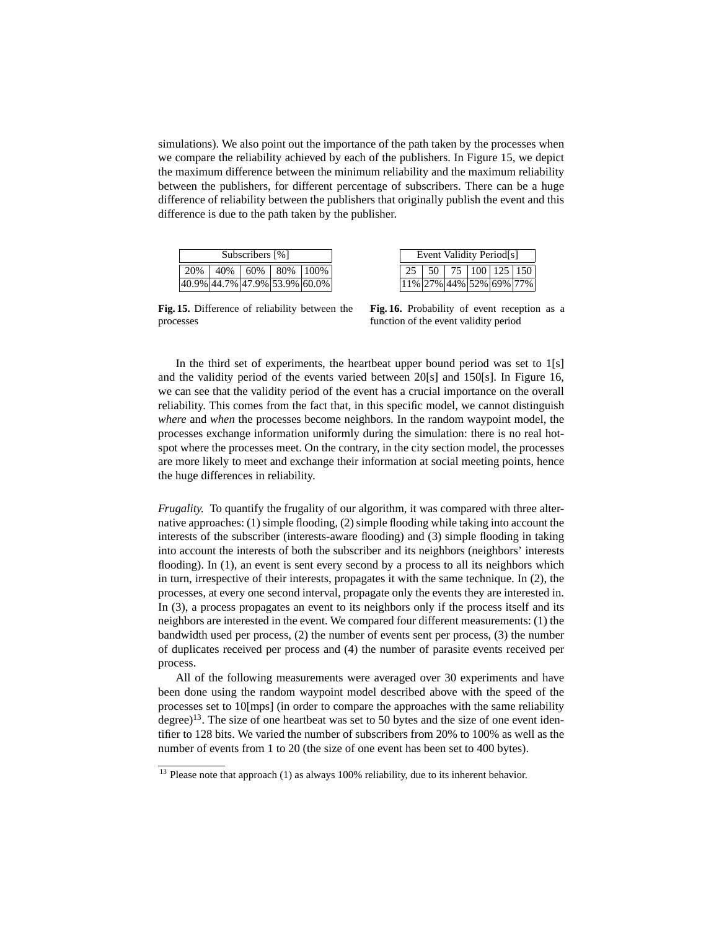simulations). We also point out the importance of the path taken by the processes when we compare the reliability achieved by each of the publishers. In Figure 15, we depict the maximum difference between the minimum reliability and the maximum reliability between the publishers, for different percentage of subscribers. There can be a huge difference of reliability between the publishers that originally publish the event and this difference is due to the path taken by the publisher.

| Subscribers [%]               |                         |  |  |  |  |
|-------------------------------|-------------------------|--|--|--|--|
| 20%                           | $140\%$ 60\% 80\% 100\% |  |  |  |  |
| 40.9% 44.7% 47.9% 53.9% 60.0% |                         |  |  |  |  |

| Event Validity Period <sup>[s]</sup> |  |  |  |  |                                                 |  |
|--------------------------------------|--|--|--|--|-------------------------------------------------|--|
|                                      |  |  |  |  | $25 \mid 50 \mid 75 \mid 100 \mid 125 \mid 150$ |  |
|                                      |  |  |  |  | 11% 27% 44% 52% 69% 77%                         |  |

**Fig. 15.** Difference of reliability between the processes

**Fig. 16.** Probability of event reception as a function of the event validity period

In the third set of experiments, the heartbeat upper bound period was set to  $1[s]$ and the validity period of the events varied between 20[s] and 150[s]. In Figure 16, we can see that the validity period of the event has a crucial importance on the overall reliability. This comes from the fact that, in this specific model, we cannot distinguish *where* and *when* the processes become neighbors. In the random waypoint model, the processes exchange information uniformly during the simulation: there is no real hotspot where the processes meet. On the contrary, in the city section model, the processes are more likely to meet and exchange their information at social meeting points, hence the huge differences in reliability.

*Frugality.* To quantify the frugality of our algorithm, it was compared with three alternative approaches: (1) simple flooding, (2) simple flooding while taking into account the interests of the subscriber (interests-aware flooding) and (3) simple flooding in taking into account the interests of both the subscriber and its neighbors (neighbors' interests flooding). In (1), an event is sent every second by a process to all its neighbors which in turn, irrespective of their interests, propagates it with the same technique. In (2), the processes, at every one second interval, propagate only the events they are interested in. In (3), a process propagates an event to its neighbors only if the process itself and its neighbors are interested in the event. We compared four different measurements: (1) the bandwidth used per process, (2) the number of events sent per process, (3) the number of duplicates received per process and (4) the number of parasite events received per process.

All of the following measurements were averaged over 30 experiments and have been done using the random waypoint model described above with the speed of the processes set to 10[mps] (in order to compare the approaches with the same reliability degree)<sup>13</sup>. The size of one heartbeat was set to 50 bytes and the size of one event identifier to 128 bits. We varied the number of subscribers from 20% to 100% as well as the number of events from 1 to 20 (the size of one event has been set to 400 bytes).

 $13$  Please note that approach (1) as always 100% reliability, due to its inherent behavior.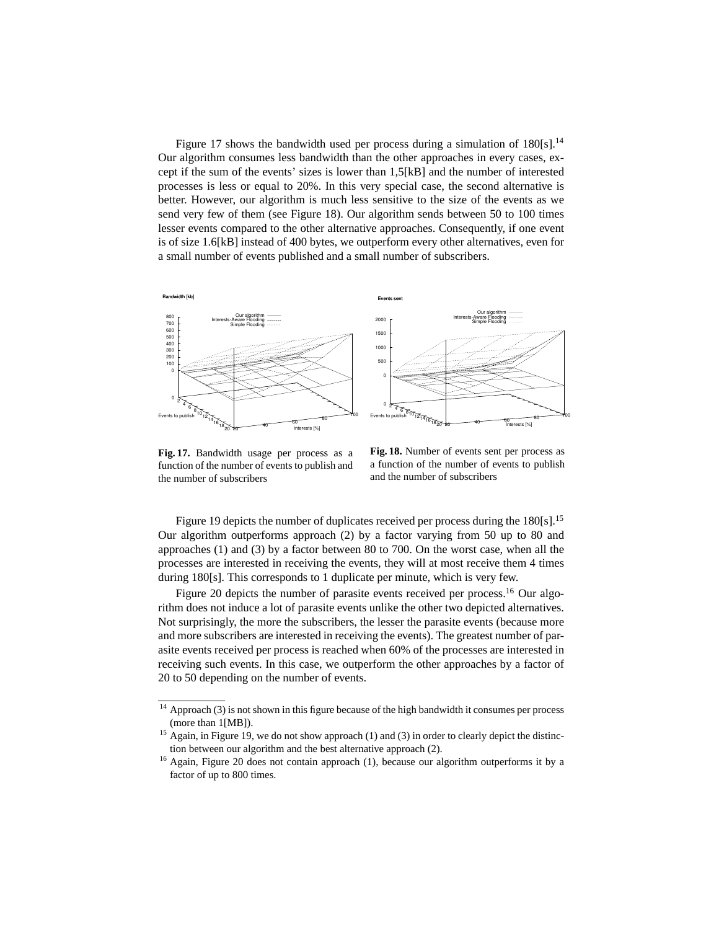Figure 17 shows the bandwidth used per process during a simulation of  $180[s]$ <sup>14</sup> Our algorithm consumes less bandwidth than the other approaches in every cases, except if the sum of the events' sizes is lower than 1,5[kB] and the number of interested processes is less or equal to 20%. In this very special case, the second alternative is better. However, our algorithm is much less sensitive to the size of the events as we send very few of them (see Figure 18). Our algorithm sends between 50 to 100 times lesser events compared to the other alternative approaches. Consequently, if one event is of size 1.6[kB] instead of 400 bytes, we outperform every other alternatives, even for a small number of events published and a small number of subscribers.



**Fig. 17.** Bandwidth usage per process as a function of the number of events to publish and the number of subscribers

**Fig. 18.** Number of events sent per process as a function of the number of events to publish and the number of subscribers

Figure 19 depicts the number of duplicates received per process during the 180[s].<sup>15</sup> Our algorithm outperforms approach (2) by a factor varying from 50 up to 80 and approaches (1) and (3) by a factor between 80 to 700. On the worst case, when all the processes are interested in receiving the events, they will at most receive them 4 times during 180[s]. This corresponds to 1 duplicate per minute, which is very few.

Figure 20 depicts the number of parasite events received per process.<sup>16</sup> Our algorithm does not induce a lot of parasite events unlike the other two depicted alternatives. Not surprisingly, the more the subscribers, the lesser the parasite events (because more and more subscribers are interested in receiving the events). The greatest number of parasite events received per process is reached when 60% of the processes are interested in receiving such events. In this case, we outperform the other approaches by a factor of 20 to 50 depending on the number of events.

 $14$  Approach (3) is not shown in this figure because of the high bandwidth it consumes per process (more than 1[MB]).

 $15$  Again, in Figure 19, we do not show approach (1) and (3) in order to clearly depict the distinction between our algorithm and the best alternative approach (2).

<sup>&</sup>lt;sup>16</sup> Again, Figure 20 does not contain approach (1), because our algorithm outperforms it by a factor of up to 800 times.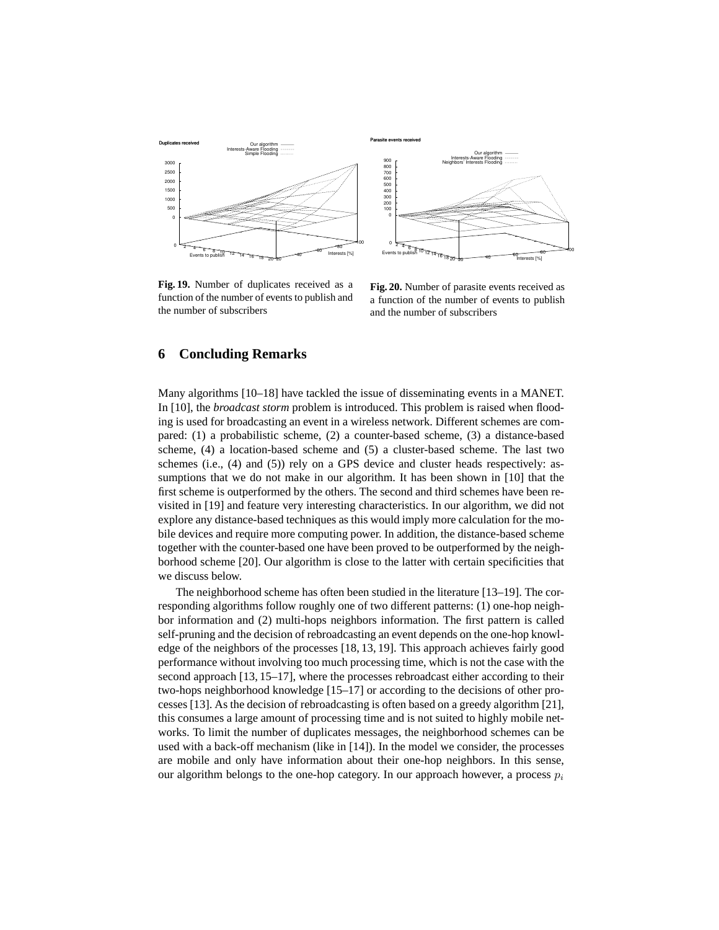

**Fig. 19.** Number of duplicates received as a function of the number of events to publish and the number of subscribers

**Fig. 20.** Number of parasite events received as a function of the number of events to publish and the number of subscribers

## **6 Concluding Remarks**

Many algorithms [10–18] have tackled the issue of disseminating events in a MANET. In [10], the *broadcast storm* problem is introduced. This problem is raised when flooding is used for broadcasting an event in a wireless network. Different schemes are compared: (1) a probabilistic scheme, (2) a counter-based scheme, (3) a distance-based scheme, (4) a location-based scheme and (5) a cluster-based scheme. The last two schemes (i.e., (4) and (5)) rely on a GPS device and cluster heads respectively: assumptions that we do not make in our algorithm. It has been shown in [10] that the first scheme is outperformed by the others. The second and third schemes have been revisited in [19] and feature very interesting characteristics. In our algorithm, we did not explore any distance-based techniques as this would imply more calculation for the mobile devices and require more computing power. In addition, the distance-based scheme together with the counter-based one have been proved to be outperformed by the neighborhood scheme [20]. Our algorithm is close to the latter with certain specificities that we discuss below.

The neighborhood scheme has often been studied in the literature [13–19]. The corresponding algorithms follow roughly one of two different patterns: (1) one-hop neighbor information and (2) multi-hops neighbors information. The first pattern is called self-pruning and the decision of rebroadcasting an event depends on the one-hop knowledge of the neighbors of the processes [18, 13, 19]. This approach achieves fairly good performance without involving too much processing time, which is not the case with the second approach [13, 15–17], where the processes rebroadcast either according to their two-hops neighborhood knowledge [15–17] or according to the decisions of other processes [13]. As the decision of rebroadcasting is often based on a greedy algorithm [21], this consumes a large amount of processing time and is not suited to highly mobile networks. To limit the number of duplicates messages, the neighborhood schemes can be used with a back-off mechanism (like in [14]). In the model we consider, the processes are mobile and only have information about their one-hop neighbors. In this sense, our algorithm belongs to the one-hop category. In our approach however, a process  $p_i$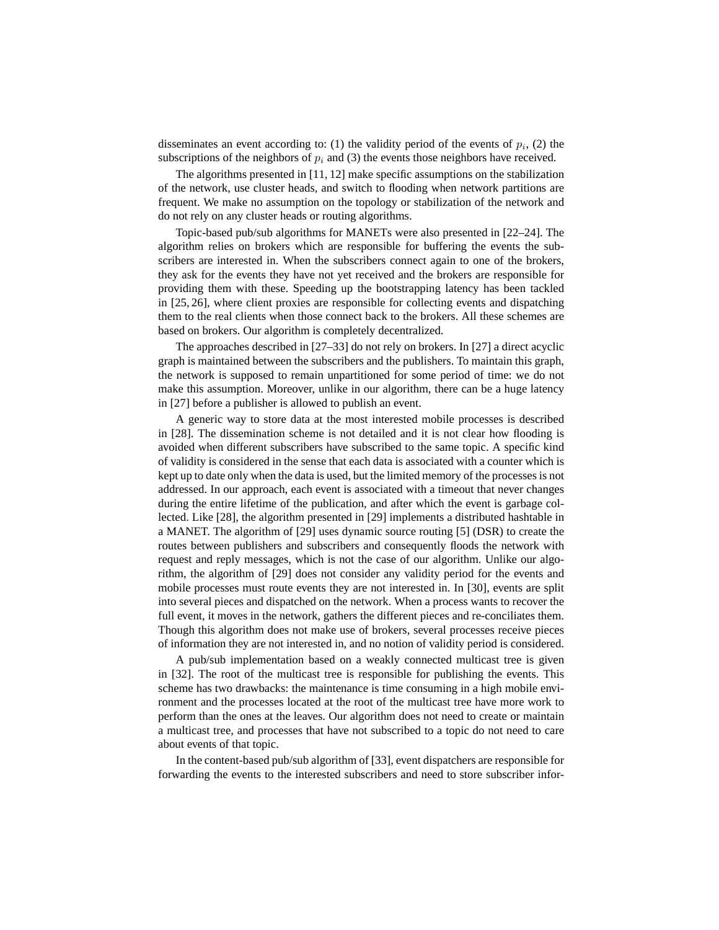disseminates an event according to: (1) the validity period of the events of  $p_i$ , (2) the subscriptions of the neighbors of  $p_i$  and (3) the events those neighbors have received.

The algorithms presented in [11, 12] make specific assumptions on the stabilization of the network, use cluster heads, and switch to flooding when network partitions are frequent. We make no assumption on the topology or stabilization of the network and do not rely on any cluster heads or routing algorithms.

Topic-based pub/sub algorithms for MANETs were also presented in [22–24]. The algorithm relies on brokers which are responsible for buffering the events the subscribers are interested in. When the subscribers connect again to one of the brokers, they ask for the events they have not yet received and the brokers are responsible for providing them with these. Speeding up the bootstrapping latency has been tackled in [25, 26], where client proxies are responsible for collecting events and dispatching them to the real clients when those connect back to the brokers. All these schemes are based on brokers. Our algorithm is completely decentralized.

The approaches described in [27–33] do not rely on brokers. In [27] a direct acyclic graph is maintained between the subscribers and the publishers. To maintain this graph, the network is supposed to remain unpartitioned for some period of time: we do not make this assumption. Moreover, unlike in our algorithm, there can be a huge latency in [27] before a publisher is allowed to publish an event.

A generic way to store data at the most interested mobile processes is described in [28]. The dissemination scheme is not detailed and it is not clear how flooding is avoided when different subscribers have subscribed to the same topic. A specific kind of validity is considered in the sense that each data is associated with a counter which is kept up to date only when the data is used, but the limited memory of the processes is not addressed. In our approach, each event is associated with a timeout that never changes during the entire lifetime of the publication, and after which the event is garbage collected. Like [28], the algorithm presented in [29] implements a distributed hashtable in a MANET. The algorithm of [29] uses dynamic source routing [5] (DSR) to create the routes between publishers and subscribers and consequently floods the network with request and reply messages, which is not the case of our algorithm. Unlike our algorithm, the algorithm of [29] does not consider any validity period for the events and mobile processes must route events they are not interested in. In [30], events are split into several pieces and dispatched on the network. When a process wants to recover the full event, it moves in the network, gathers the different pieces and re-conciliates them. Though this algorithm does not make use of brokers, several processes receive pieces of information they are not interested in, and no notion of validity period is considered.

A pub/sub implementation based on a weakly connected multicast tree is given in [32]. The root of the multicast tree is responsible for publishing the events. This scheme has two drawbacks: the maintenance is time consuming in a high mobile environment and the processes located at the root of the multicast tree have more work to perform than the ones at the leaves. Our algorithm does not need to create or maintain a multicast tree, and processes that have not subscribed to a topic do not need to care about events of that topic.

In the content-based pub/sub algorithm of [33], event dispatchers are responsible for forwarding the events to the interested subscribers and need to store subscriber infor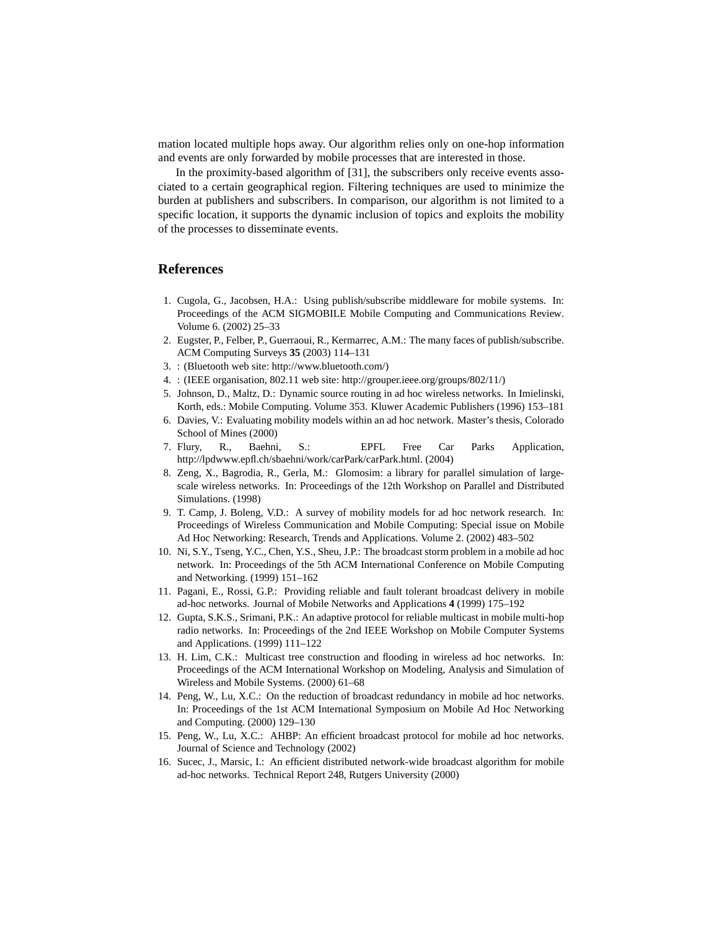mation located multiple hops away. Our algorithm relies only on one-hop information and events are only forwarded by mobile processes that are interested in those.

In the proximity-based algorithm of [31], the subscribers only receive events associated to a certain geographical region. Filtering techniques are used to minimize the burden at publishers and subscribers. In comparison, our algorithm is not limited to a specific location, it supports the dynamic inclusion of topics and exploits the mobility of the processes to disseminate events.

## **References**

- 1. Cugola, G., Jacobsen, H.A.: Using publish/subscribe middleware for mobile systems. In: Proceedings of the ACM SIGMOBILE Mobile Computing and Communications Review. Volume 6. (2002) 25–33
- 2. Eugster, P., Felber, P., Guerraoui, R., Kermarrec, A.M.: The many faces of publish/subscribe. ACM Computing Surveys **35** (2003) 114–131
- 3. : (Bluetooth web site: http://www.bluetooth.com/)
- 4. : (IEEE organisation, 802.11 web site: http://grouper.ieee.org/groups/802/11/)
- 5. Johnson, D., Maltz, D.: Dynamic source routing in ad hoc wireless networks. In Imielinski, Korth, eds.: Mobile Computing. Volume 353. Kluwer Academic Publishers (1996) 153–181
- 6. Davies, V.: Evaluating mobility models within an ad hoc network. Master's thesis, Colorado School of Mines (2000)
- 7. Flury, R., Baehni, S.: EPFL Free Car Parks Application, http://lpdwww.epfl.ch/sbaehni/work/carPark/carPark.html. (2004)
- 8. Zeng, X., Bagrodia, R., Gerla, M.: Glomosim: a library for parallel simulation of largescale wireless networks. In: Proceedings of the 12th Workshop on Parallel and Distributed Simulations. (1998)
- 9. T. Camp, J. Boleng, V.D.: A survey of mobility models for ad hoc network research. In: Proceedings of Wireless Communication and Mobile Computing: Special issue on Mobile Ad Hoc Networking: Research, Trends and Applications. Volume 2. (2002) 483–502
- 10. Ni, S.Y., Tseng, Y.C., Chen, Y.S., Sheu, J.P.: The broadcast storm problem in a mobile ad hoc network. In: Proceedings of the 5th ACM International Conference on Mobile Computing and Networking. (1999) 151–162
- 11. Pagani, E., Rossi, G.P.: Providing reliable and fault tolerant broadcast delivery in mobile ad-hoc networks. Journal of Mobile Networks and Applications **4** (1999) 175–192
- 12. Gupta, S.K.S., Srimani, P.K.: An adaptive protocol for reliable multicast in mobile multi-hop radio networks. In: Proceedings of the 2nd IEEE Workshop on Mobile Computer Systems and Applications. (1999) 111–122
- 13. H. Lim, C.K.: Multicast tree construction and flooding in wireless ad hoc networks. In: Proceedings of the ACM International Workshop on Modeling, Analysis and Simulation of Wireless and Mobile Systems. (2000) 61–68
- 14. Peng, W., Lu, X.C.: On the reduction of broadcast redundancy in mobile ad hoc networks. In: Proceedings of the 1st ACM International Symposium on Mobile Ad Hoc Networking and Computing. (2000) 129–130
- 15. Peng, W., Lu, X.C.: AHBP: An efficient broadcast protocol for mobile ad hoc networks. Journal of Science and Technology (2002)
- 16. Sucec, J., Marsic, I.: An efficient distributed network-wide broadcast algorithm for mobile ad-hoc networks. Technical Report 248, Rutgers University (2000)